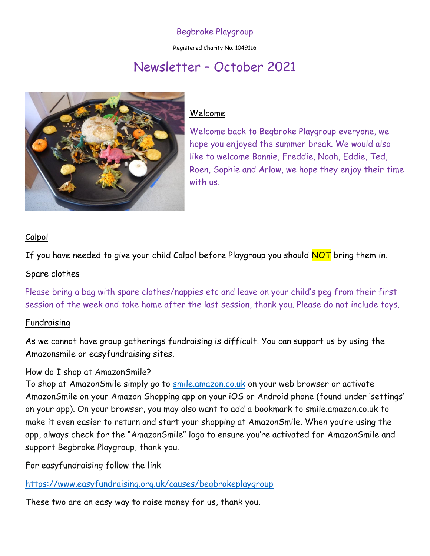# Begbroke Playgroup

Registered Charity No. 1049116

# Newsletter – October 2021



## Welcome

Welcome back to Begbroke Playgroup everyone, we hope you enjoyed the summer break. We would also like to welcome Bonnie, Freddie, Noah, Eddie, Ted, Roen, Sophie and Arlow, we hope they enjoy their time with us.

## Calpol

If you have needed to give your child Calpol before Playgroup you should NOT bring them in.

#### Spare clothes

Please bring a bag with spare clothes/nappies etc and leave on your child's peg from their first session of the week and take home after the last session, thank you. Please do not include toys.

#### Fundraising

As we cannot have group gatherings fundraising is difficult. You can support us by using the Amazonsmile or easyfundraising sites.

## How do I shop at AmazonSmile?

To shop at AmazonSmile simply go to <u>[smile.amazon.co.uk](https://smile.amazon.co.uk/)</u> on your web browser or activate AmazonSmile on your Amazon Shopping app on your iOS or Android phone (found under 'settings' on your app). On your browser, you may also want to add a bookmark to smile.amazon.co.uk to make it even easier to return and start your shopping at AmazonSmile. When you're using the app, always check for the "AmazonSmile" logo to ensure you're activated for AmazonSmile and support Begbroke Playgroup, thank you.

For easyfundraising follow the link

<https://www.easyfundraising.org.uk/causes/begbrokeplaygroup>

These two are an easy way to raise money for us, thank you.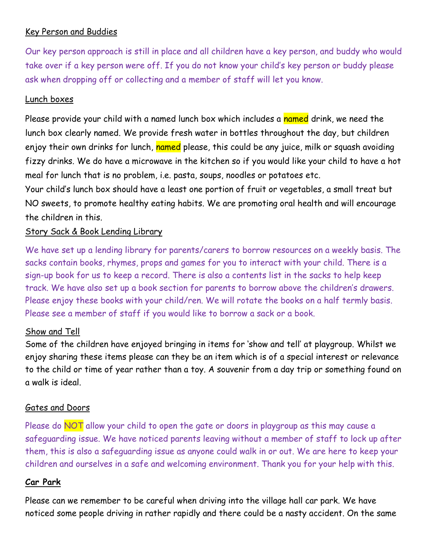# Key Person and Buddies

Our key person approach is still in place and all children have a key person, and buddy who would take over if a key person were off. If you do not know your child's key person or buddy please ask when dropping off or collecting and a member of staff will let you know.

#### Lunch boxes

Please provide your child with a named lunch box which includes a named drink, we need the lunch box clearly named. We provide fresh water in bottles throughout the day, but children enjoy their own drinks for lunch, named please, this could be any juice, milk or squash avoiding fizzy drinks. We do have a microwave in the kitchen so if you would like your child to have a hot meal for lunch that is no problem, i.e. pasta, soups, noodles or potatoes etc.

Your child's lunch box should have a least one portion of fruit or vegetables, a small treat but NO sweets, to promote healthy eating habits. We are promoting oral health and will encourage the children in this.

## Story Sack & Book Lending Library

We have set up a lending library for parents/carers to borrow resources on a weekly basis. The sacks contain books, rhymes, props and games for you to interact with your child. There is a sign-up book for us to keep a record. There is also a contents list in the sacks to help keep track. We have also set up a book section for parents to borrow above the children's drawers. Please enjoy these books with your child/ren. We will rotate the books on a half termly basis. Please see a member of staff if you would like to borrow a sack or a book.

## Show and Tell

Some of the children have enjoyed bringing in items for 'show and tell' at playgroup. Whilst we enjoy sharing these items please can they be an item which is of a special interest or relevance to the child or time of year rather than a toy. A souvenir from a day trip or something found on a walk is ideal.

#### Gates and Doors

Please do **NOT** allow your child to open the gate or doors in playgroup as this may cause a safeguarding issue. We have noticed parents leaving without a member of staff to lock up after them, this is also a safeguarding issue as anyone could walk in or out. We are here to keep your children and ourselves in a safe and welcoming environment. Thank you for your help with this.

## **Car Park**

Please can we remember to be careful when driving into the village hall car park. We have noticed some people driving in rather rapidly and there could be a nasty accident. On the same